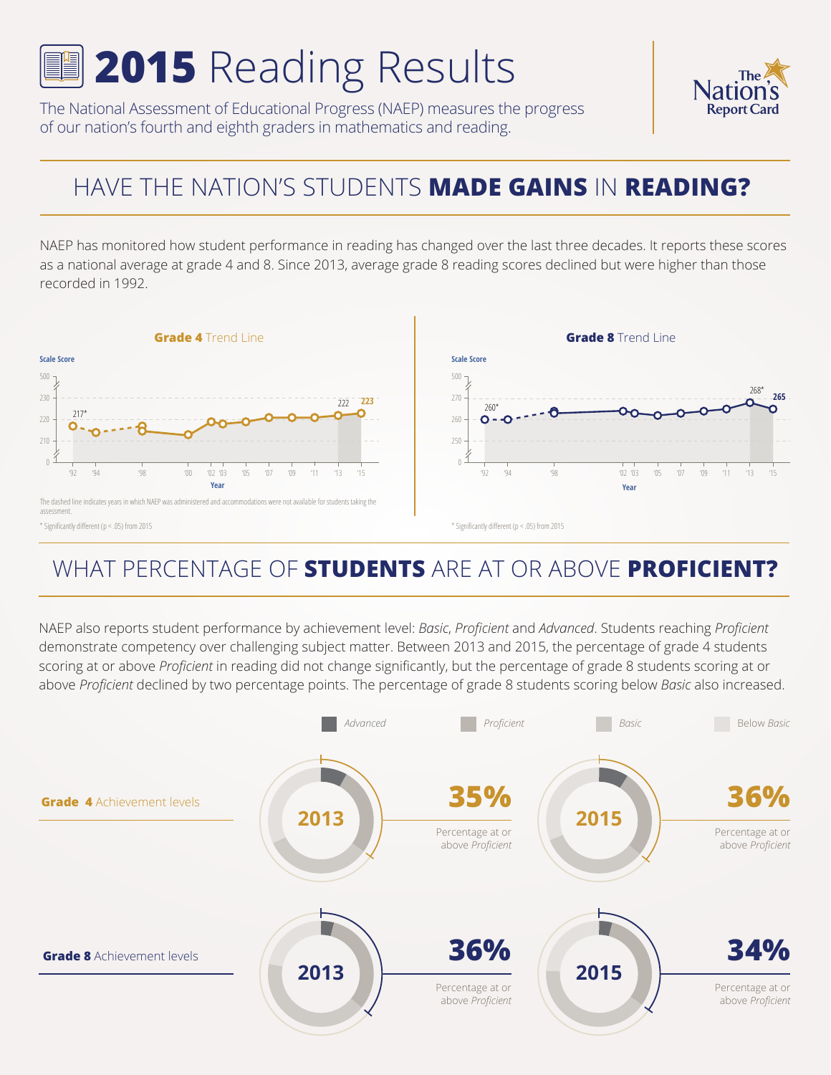# **2015** Reading Results

The National Assessment of Educational Progress (NAEP) measures the progress of our nation's fourth and eighth graders in mathematics and reading.

#### The afio **Report Card**

# HAVE THE NATION'S STUDENTS **MADE GAINS** IN **READING?**

NAEP has monitored how student performance in reading has changed over the last three decades. It reports these scores as a national average at grade 4 and 8. Since 2013, average grade 8 reading scores declined but were higher than those recorded in 1992.



### WHAT PERCENTAGE OF **STUDENTS** ARE AT OR ABOVE **PROFICIENT?**

NAEP also reports student performance by achievement level: *Basic*, *Proficient* and *Advanced*. Students reaching *Proficient* demonstrate competency over challenging subject matter. Between 2013 and 2015, the percentage of grade 4 students scoring at or above *Proficient* in reading did not change significantly, but the percentage of grade 8 students scoring at or above *Proficient* declined by two percentage points. The percentage of grade 8 students scoring below *Basic* also increased.